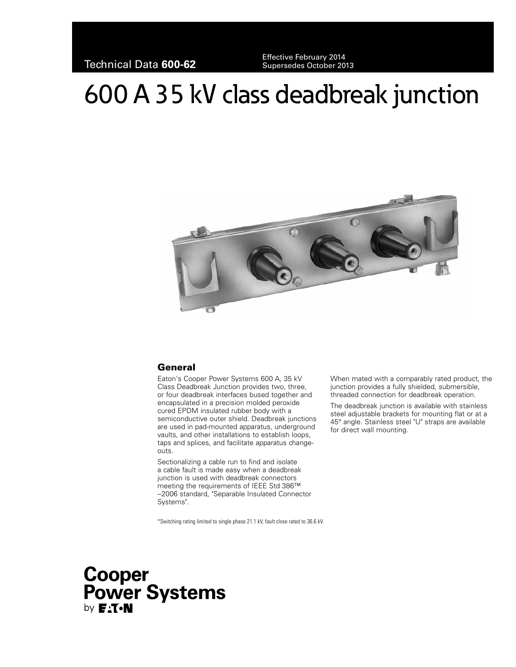Technical Data **600-62** Effective February 2014 Supersedes October 2013

# 600 A 35 kV class deadbreak junction



## General

Eaton's Cooper Power Systems 600 A, 35 kV Class Deadbreak Junction provides two, three, or four deadbreak interfaces bused together and encapsulated in a precision molded peroxide cured EPDM insulated rubber body with a semiconductive outer shield. Deadbreak junctions are used in pad-mounted apparatus, underground vaults, and other installations to establish loops, taps and splices, and facilitate apparatus changeouts.

Sectionalizing a cable run to find and isolate a cable fault is made easy when a deadbreak junction is used with deadbreak connectors meeting the requirements of IEEE Std 386™ -2006 standard, "Separable Insulated Connector Systems".

\*Switching rating limited to single phase 21.1 kV, fault close rated to 36.6 kV.

When mated with a comparably rated product, the junction provides a fully shielded, submersible, threaded connection for deadbreak operation.

The deadbreak junction is available with stainless steel adjustable brackets for mounting flat or at a 45° angle. Stainless steel "U" straps are available for direct wall mounting.

## Cooper **Power Systems** by **E<sub>:</sub>T**.N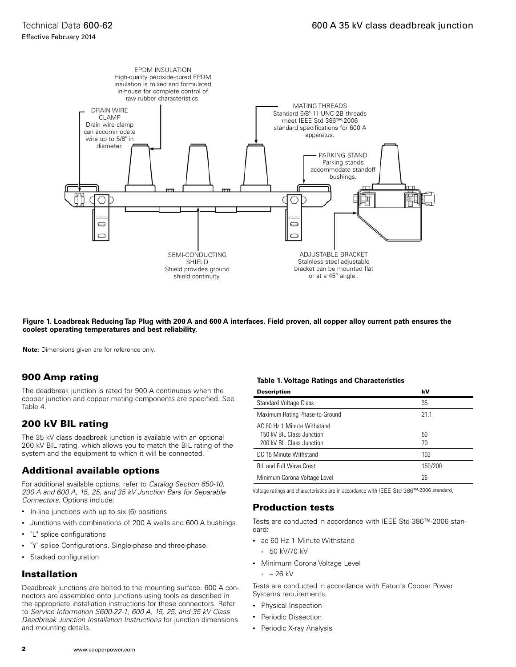

**Figure 1. Loadbreak Reducing Tap Plug with 200 A and 600 A interfaces. Field proven, all copper alloy current path ensures the coolest operating temperatures and best reliability.**

**Note:** Dimensions given are for reference only.

## 900 Amp rating

The deadbreak junction is rated for 900 A continuous when the copper junction and copper mating components are specified. See Table 4.

## 200 kV BIL rating

The 35 kV class deadbreak junction is available with an optional 200 kV BIL rating, which allows you to match the BIL rating of the system and the equipment to which it will be connected.

## Additional available options

For additional available options, refer to *Catalog Section 650-10, 200 A and 600 A, 15, 25, and 35 kV Junction Bars for Separable Connectors*. Options include:

- In-line junctions with up to six (6) positions
- Junctions with combinations of 200 A wells and 600 A bushings
- "L" splice configurations
- "Y" splice Configurations. Single-phase and three-phase.
- Stacked configuration

## Installation

Deadbreak junctions are bolted to the mounting surface. 600 A connectors are assembled onto junctions using tools as described in the appropriate installation instructions for those connectors. Refer to *Service Information S600-22-1, 600 A, 15, 25, and 35 kV Class Deadbreak Junction Installation Instructions* for junction dimensions and mounting details.

#### **Table 1. Voltage Ratings and Characteristics**

| <b>Description</b>                                                                    | kV       |
|---------------------------------------------------------------------------------------|----------|
| <b>Standard Voltage Class</b>                                                         | 35       |
| Maximum Rating Phase-to-Ground                                                        | 211      |
| AC 60 Hz 1 Minute Withstand<br>150 kV BIL Class Junction<br>200 kV BIL Class Junction | 50<br>70 |
| DC 15 Minute Withstand                                                                | 103      |
| <b>BIL and Full Wave Crest</b>                                                        | 150/200  |
| Minimum Corona Voltage Level                                                          | 26       |

Voltage ratings and characteristics are in accordance with IEEE Std 386™-2006 standard.

## Production tests

Tests are conducted in accordance with IEEE Std 386™-2006 standard:

- ac 60 Hz 1 Minute Withstand
- 50 kV/70 kV
- Minimum Corona Voltage Level
	- $-26$  kV

Tests are conducted in accordance with Eaton's Cooper Power Systems requirements:

- Physical Inspection
- Periodic Dissection
- Periodic X-ray Analysis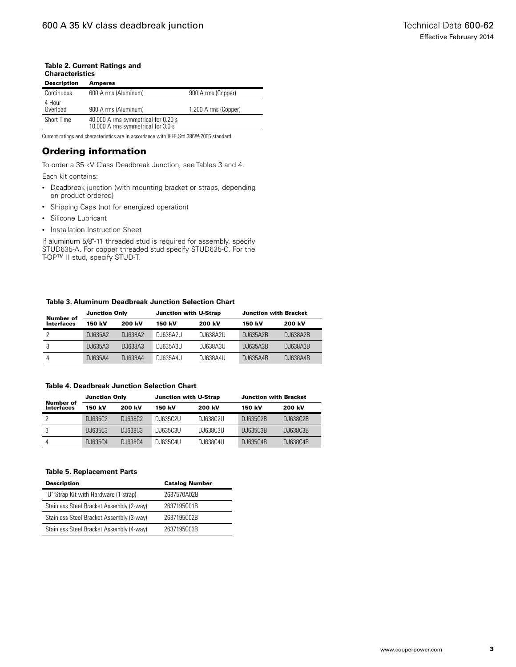#### **Table 2. Current Ratings and Characteristics**

| <b>Description</b> | <b>Amperes</b>                                                            |                      |
|--------------------|---------------------------------------------------------------------------|----------------------|
| Continuous         | 600 A rms (Aluminum)                                                      | 900 A rms (Copper)   |
| 4 Hour<br>Overload | 900 A rms (Aluminum)                                                      | 1,200 A rms (Copper) |
| Short Time         | 40,000 A rms symmetrical for 0.20 s<br>10,000 A rms symmetrical for 3.0 s |                      |

Current ratings and characteristics are in accordance with IEEE Std 386™-2006 standard.

## Ordering information

To order a 35 kV Class Deadbreak Junction, see Tables 3 and 4. Each kit contains:

- Deadbreak junction (with mounting bracket or straps, depending on product ordered)
- Shipping Caps (not for energized operation)
- Silicone Lubricant
- Installation Instruction Sheet

If aluminum 5/8"-11 threaded stud is required for assembly, specify STUD635-A. For copper threaded stud specify STUD635-C. For the T-OP™ II stud, specify STUD-T.

#### **Table 3. Aluminum Deadbreak Junction Selection Chart**

| Number of<br>Interfaces | <b>Junction Only</b> |           | <b>Junction with U-Strap</b> |          | <b>Junction with Bracket</b> |          |
|-------------------------|----------------------|-----------|------------------------------|----------|------------------------------|----------|
|                         | 150 kV               | 200 kV    | 150 kV                       | 200 kV   | 150 kV                       | 200 kV   |
|                         | DJ635A2              | D. I638A2 | DJ635A2U                     | DJ638A2U | DJ635A2B                     | DJ638A2B |
|                         | DJ635A3              | DJ638A3   | DJ635A3U                     | DJ638A3U | DJ635A3B                     | DJ638A3B |
| 4                       | D. 1635A4            | D. I638A4 | DJ635A4U                     | DJ638A4U | DJ635A4B                     | DJ638A4B |

#### **Table 4. Deadbreak Junction Selection Chart**

| Number of<br><b>Interfaces</b> | <b>Junction Only</b> |           | <b>Junction with U-Strap</b> |            | <b>Junction with Bracket</b> |          |
|--------------------------------|----------------------|-----------|------------------------------|------------|------------------------------|----------|
|                                | 150 kV               | 200 kV    | 150 kV                       | 200 kV     | 150 kV                       | 200 kV   |
|                                | D. 1635C2            | D. 1638C2 | D. 1635C2U                   | DJ638C2U   | D. I635C2B                   | DJ638C2B |
|                                | D. 1635C3            | D. 1638C3 | D. 1635C3U                   | D. I638C3U | D. 1635C3B                   | DJ638C3B |
|                                | D. I635C4            | D. 1638C4 | D. 1635C4U                   | D. I638C4U | D. I635C4B                   | DJ638C4B |

#### **Table 5. Replacement Parts**

| <b>Description</b>                       | <b>Catalog Number</b> |
|------------------------------------------|-----------------------|
| "U" Strap Kit with Hardware (1 strap)    | 2637570A02B           |
| Stainless Steel Bracket Assembly (2-way) | 2637195C01B           |
| Stainless Steel Bracket Assembly (3-way) | 2637195C02B           |
| Stainless Steel Bracket Assembly (4-way) | 2637195C03B           |